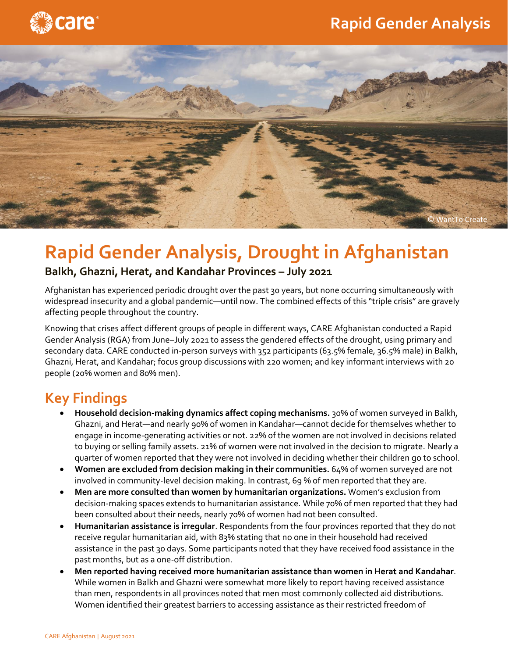## **Rapid Gender Analysis**





# **Rapid Gender Analysis, Drought in Afghanistan**

#### **Balkh, Ghazni, Herat, and Kandahar Provinces – July 2021**

Afghanistan has experienced periodic drought over the past 30 years, but none occurring simultaneously with widespread insecurity and a global pandemic—until now. The combined effects of this "triple crisis" are gravely affecting people throughout the country.

Knowing that crises affect different groups of people in different ways, CARE Afghanistan conducted a Rapid Gender Analysis (RGA) from June–July 2021 to assess the gendered effects of the drought, using primary and secondary data. CARE conducted in-person surveys with 352 participants (63.5% female, 36.5% male) in Balkh, Ghazni, Herat, and Kandahar; focus group discussions with 220 women; and key informant interviews with 20 people (20% women and 80% men).

## **Key Findings**

- **Household decision-making dynamics affect coping mechanisms.** 30% of women surveyed in Balkh, Ghazni, and Herat—and nearly 90% of women in Kandahar—cannot decide for themselves whether to engage in income-generating activities or not. 22% of the women are not involved in decisions related to buying or selling family assets. 21% of women were not involved in the decision to migrate. Nearly a quarter of women reported that they were not involved in deciding whether their children go to school.
- **Women are excluded from decision making in their communities.** 64% of women surveyed are not involved in community-level decision making. In contrast, 69 % of men reported that they are.
- **Men are more consulted than women by humanitarian organizations.** Women's exclusion from decision-making spaces extends to humanitarian assistance. While 70% of men reported that they had been consulted about their needs, nearly 70% of women had not been consulted.
- **Humanitarian assistance is irregular**. Respondents from the four provinces reported that they do not receive regular humanitarian aid, with 83% stating that no one in their household had received assistance in the past 30 days. Some participants noted that they have received food assistance in the past months, but as a one-off distribution.
- **Men reported having received more humanitarian assistance than women in Herat and Kandahar**. While women in Balkh and Ghazni were somewhat more likely to report having received assistance than men, respondents in all provinces noted that men most commonly collected aid distributions. Women identified their greatest barriers to accessing assistance as their restricted freedom of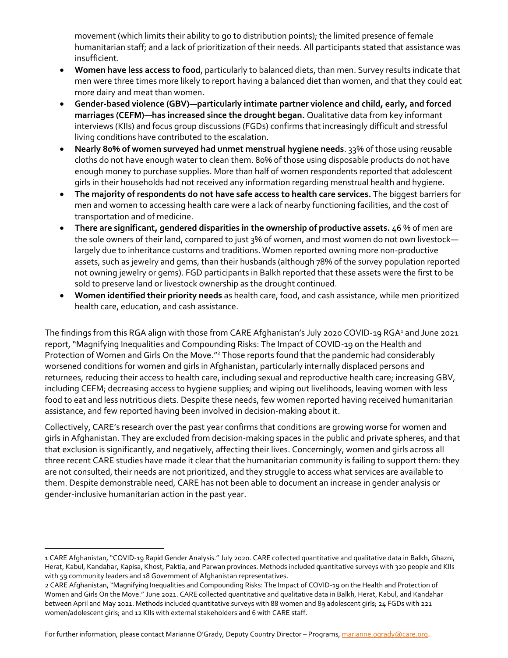movement (which limits their ability to go to distribution points); the limited presence of female humanitarian staff; and a lack of prioritization of their needs. All participants stated that assistance was insufficient.

- **Women have less access to food**, particularly to balanced diets, than men. Survey results indicate that men were three times more likely to report having a balanced diet than women, and that they could eat more dairy and meat than women.
- **Gender-based violence (GBV)—particularly intimate partner violence and child, early, and forced marriages (CEFM)—has increased since the drought began.** Qualitative data from key informant interviews (KIIs) and focus group discussions (FGDs) confirms that increasingly difficult and stressful living conditions have contributed to the escalation.
- **Nearly 80% of women surveyed had unmet menstrual hygiene needs**. 33% of those using reusable cloths do not have enough water to clean them. 80% of those using disposable products do not have enough money to purchase supplies. More than half of women respondents reported that adolescent girls in their households had not received any information regarding menstrual health and hygiene.
- **The majority of respondents do not have safe access to health care services.** The biggest barriers for men and women to accessing health care were a lack of nearby functioning facilities, and the cost of transportation and of medicine.
- **There are significant, gendered disparities in the ownership of productive assets.** 46 % of men are the sole owners of their land, compared to just 3% of women, and most women do not own livestock largely due to inheritance customs and traditions. Women reported owning more non-productive assets, such as jewelry and gems, than their husbands (although 78% of the survey population reported not owning jewelry or gems). FGD participants in Balkh reported that these assets were the first to be sold to preserve land or livestock ownership as the drought continued.
- **Women identified their priority needs** as health care, food, and cash assistance, while men prioritized health care, education, and cash assistance.

The findings from this RGA align with those from CARE Afghanistan's July 2020 COVID-19 RGA<sup>1</sup> and June 2021 report, "Magnifying Inequalities and Compounding Risks: The Impact of COVID-19 on the Health and Protection of Women and Girls On the Move."<sup>2</sup> Those reports found that the pandemic had considerably worsened conditions for women and girls in Afghanistan, particularly internally displaced persons and returnees, reducing their access to health care, including sexual and reproductive health care; increasing GBV, including CEFM; decreasing access to hygiene supplies; and wiping out livelihoods, leaving women with less food to eat and less nutritious diets. Despite these needs, few women reported having received humanitarian assistance, and few reported having been involved in decision-making about it.

Collectively, CARE's research over the past year confirms that conditions are growing worse for women and girls in Afghanistan. They are excluded from decision-making spaces in the public and private spheres, and that that exclusion is significantly, and negatively, affecting their lives. Concerningly, women and girls across all three recent CARE studies have made it clear that the humanitarian community is failing to support them: they are not consulted, their needs are not prioritized, and they struggle to access what services are available to them. Despite demonstrable need, CARE has not been able to document an increase in gender analysis or gender-inclusive humanitarian action in the past year.

For further information, please contact Marianne O'Grady, Deputy Country Director – Programs[, marianne.ogrady@care.org.](about:blank)

<sup>1</sup> CARE Afghanistan, "COVID-19 Rapid Gender Analysis." July 2020. CARE collected quantitative and qualitative data in Balkh, Ghazni, Herat, Kabul, Kandahar, Kapisa, Khost, Paktia, and Parwan provinces. Methods included quantitative surveys with 320 people and KIIs with 59 community leaders and 18 Government of Afghanistan representatives.

<sup>2</sup> CARE Afghanistan, "Magnifying Inequalities and Compounding Risks: The Impact of COVID-19 on the Health and Protection of Women and Girls On the Move." June 2021. CARE collected quantitative and qualitative data in Balkh, Herat, Kabul, and Kandahar between April and May 2021. Methods included quantitative surveys with 88 women and 89 adolescent girls; 24 FGDs with 221 women/adolescent girls; and 12 KIIs with external stakeholders and 6 with CARE staff.